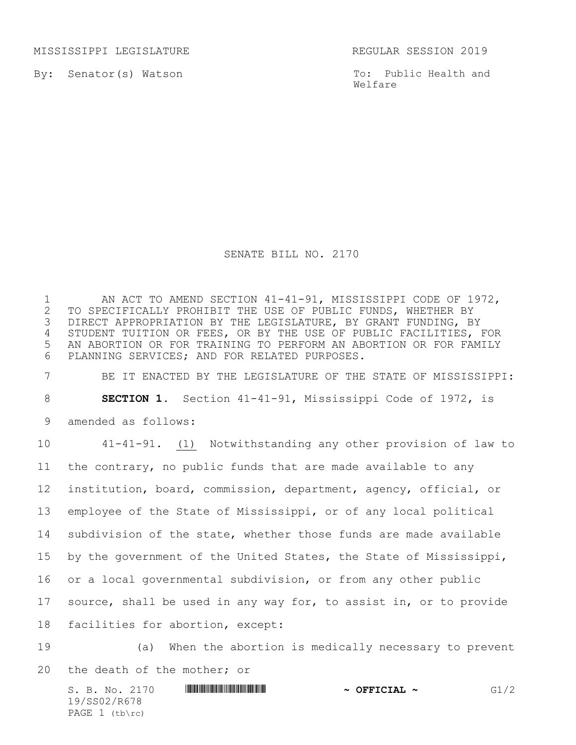MISSISSIPPI LEGISLATURE REGULAR SESSION 2019

By: Senator(s) Watson

To: Public Health and Welfare

## SENATE BILL NO. 2170

1 AN ACT TO AMEND SECTION 41-41-91, MISSISSIPPI CODE OF 1972,<br>2 TO SPECIFICALLY PROHIBIT THE USE OF PUBLIC FUNDS, WHETHER BY 2 TO SPECIFICALLY PROHIBIT THE USE OF PUBLIC FUNDS, WHETHER BY<br>3 DIRECT APPROPRIATION BY THE LEGISLATURE, BY GRANT FUNDING, B DIRECT APPROPRIATION BY THE LEGISLATURE, BY GRANT FUNDING, BY STUDENT TUITION OR FEES, OR BY THE USE OF PUBLIC FACILITIES, FOR AN ABORTION OR FOR TRAINING TO PERFORM AN ABORTION OR FOR FAMILY PLANNING SERVICES; AND FOR RELATED PURPOSES. BE IT ENACTED BY THE LEGISLATURE OF THE STATE OF MISSISSIPPI: **SECTION 1.** Section 41-41-91, Mississippi Code of 1972, is amended as follows: 41-41-91. (1) Notwithstanding any other provision of law to

 the contrary, no public funds that are made available to any institution, board, commission, department, agency, official, or employee of the State of Mississippi, or of any local political subdivision of the state, whether those funds are made available by the government of the United States, the State of Mississippi, or a local governmental subdivision, or from any other public source, shall be used in any way for, to assist in, or to provide facilities for abortion, except:

 (a) When the abortion is medically necessary to prevent the death of the mother; or

S. B. No. 2170 **\$CONCERT \$49.50 \*** OFFICIAL ~ G1/2 19/SS02/R678 PAGE 1 (tb\rc)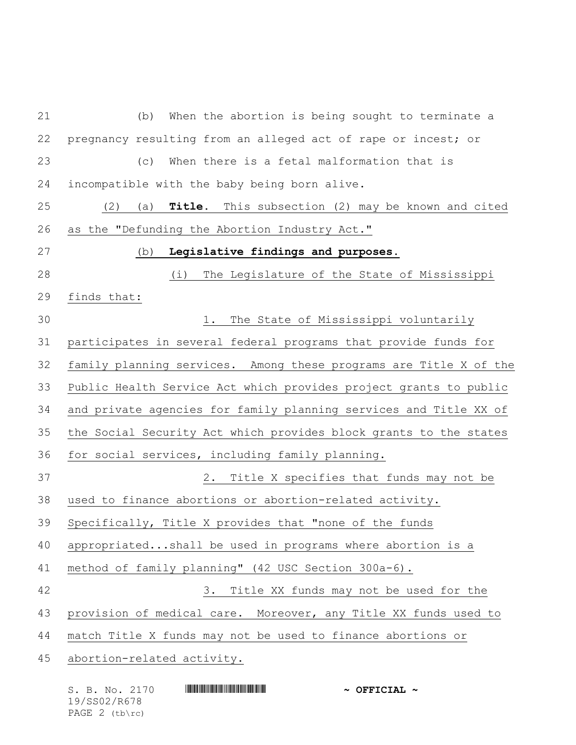(b) When the abortion is being sought to terminate a pregnancy resulting from an alleged act of rape or incest; or (c) When there is a fetal malformation that is incompatible with the baby being born alive. (2) (a) **Title.** This subsection (2) may be known and cited as the "Defunding the Abortion Industry Act." (b) **Legislative findings and purposes.** (i) The Legislature of the State of Mississippi finds that: 1. The State of Mississippi voluntarily participates in several federal programs that provide funds for family planning services. Among these programs are Title X of the Public Health Service Act which provides project grants to public and private agencies for family planning services and Title XX of the Social Security Act which provides block grants to the states for social services, including family planning. 2. Title X specifies that funds may not be used to finance abortions or abortion-related activity. Specifically, Title X provides that "none of the funds appropriated...shall be used in programs where abortion is a method of family planning" (42 USC Section 300a-6). 3. Title XX funds may not be used for the provision of medical care. Moreover, any Title XX funds used to match Title X funds may not be used to finance abortions or abortion-related activity.

| S. B. No. 2170   | $\sim$ OFFICIAL $\sim$ |
|------------------|------------------------|
| 19/SS02/R678     |                        |
| PAGE $2$ (tb\rc) |                        |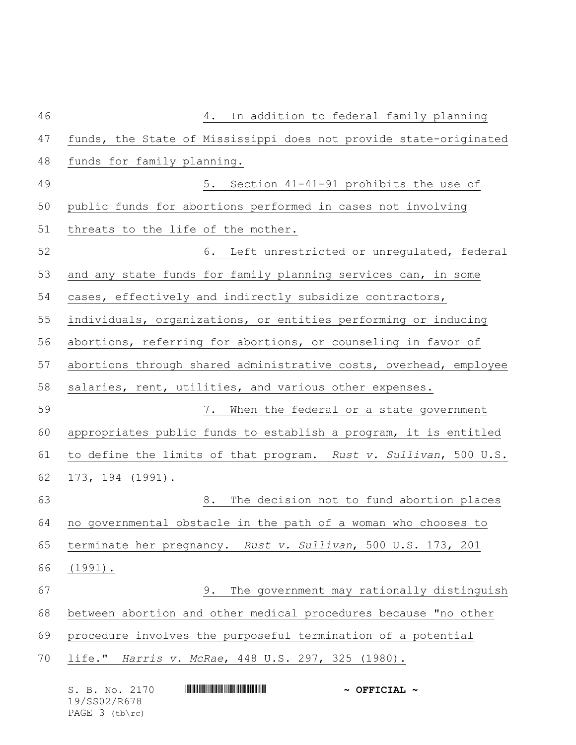| 46 | In addition to federal family planning<br>4.                      |
|----|-------------------------------------------------------------------|
| 47 | funds, the State of Mississippi does not provide state-originated |
| 48 | funds for family planning.                                        |
| 49 | 5. Section 41-41-91 prohibits the use of                          |
| 50 | public funds for abortions performed in cases not involving       |
| 51 | threats to the life of the mother.                                |
| 52 | 6. Left unrestricted or unregulated, federal                      |
| 53 | and any state funds for family planning services can, in some     |
| 54 | cases, effectively and indirectly subsidize contractors,          |
| 55 | individuals, organizations, or entities performing or inducing    |
| 56 | abortions, referring for abortions, or counseling in favor of     |
| 57 | abortions through shared administrative costs, overhead, employee |
| 58 | salaries, rent, utilities, and various other expenses.            |
| 59 | 7. When the federal or a state government                         |
| 60 | appropriates public funds to establish a program, it is entitled  |
| 61 | to define the limits of that program. Rust v. Sullivan, 500 U.S.  |
| 62 | 173, 194 (1991).                                                  |
| 63 | 8.<br>The decision not to fund abortion places                    |
| 64 | no governmental obstacle in the path of a woman who chooses to    |
| 65 | terminate her pregnancy. Rust v. Sullivan, 500 U.S. 173, 201      |
| 66 | $(1991)$ .                                                        |
| 67 | The government may rationally distinguish<br>9.                   |
| 68 | between abortion and other medical procedures because "no other   |
| 69 | procedure involves the purposeful termination of a potential      |
| 70 | life." Harris v. McRae, 448 U.S. 297, 325 (1980).                 |
|    | S. B. No. 2170<br>$\sim$ OFFICIAL $\sim$                          |

19/SS02/R678 PAGE 3 (tb\rc)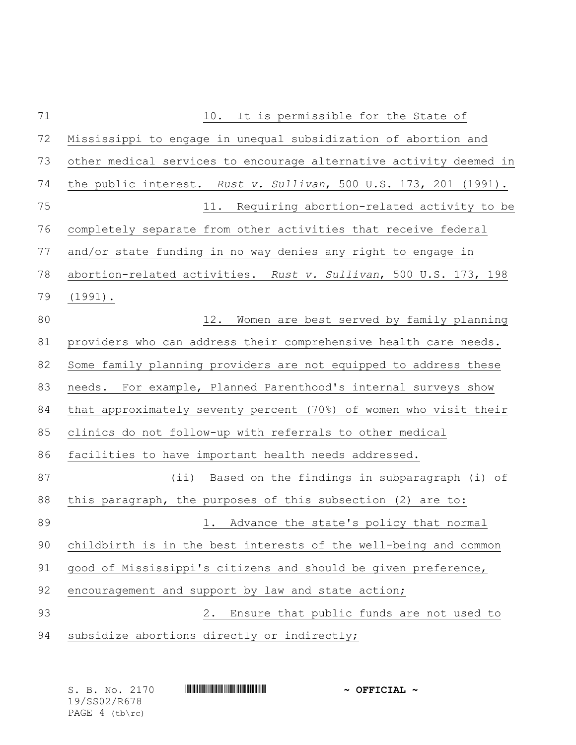| 71 | It is permissible for the State of<br>10.                          |
|----|--------------------------------------------------------------------|
| 72 | Mississippi to engage in unequal subsidization of abortion and     |
| 73 | other medical services to encourage alternative activity deemed in |
| 74 | the public interest. Rust v. Sullivan, 500 U.S. 173, 201 (1991).   |
| 75 | 11. Requiring abortion-related activity to be                      |
| 76 | completely separate from other activities that receive federal     |
| 77 | and/or state funding in no way denies any right to engage in       |
| 78 | abortion-related activities. Rust v. Sullivan, 500 U.S. 173, 198   |
| 79 | $(1991)$ .                                                         |
| 80 | 12.<br>Women are best served by family planning                    |
| 81 | providers who can address their comprehensive health care needs.   |
| 82 | Some family planning providers are not equipped to address these   |
| 83 | needs. For example, Planned Parenthood's internal surveys show     |
| 84 | that approximately seventy percent (70%) of women who visit their  |
| 85 | clinics do not follow-up with referrals to other medical           |
| 86 | facilities to have important health needs addressed.               |
| 87 | (ii) Based on the findings in subparagraph (i) of                  |
| 88 | this paragraph, the purposes of this subsection (2) are to:        |
| 89 | 1. Advance the state's policy that normal                          |
| 90 | childbirth is in the best interests of the well-being and common   |
| 91 | good of Mississippi's citizens and should be given preference,     |
| 92 | encouragement and support by law and state action;                 |
| 93 | Ensure that public funds are not used to<br>2.                     |
| 94 | subsidize abortions directly or indirectly;                        |
|    |                                                                    |

| S. B. No. 2170 |  | $\sim$ OFFICIAL $\sim$ |
|----------------|--|------------------------|
| 19/SS02/R678   |  |                        |
| PAGE 4 (tb\rc) |  |                        |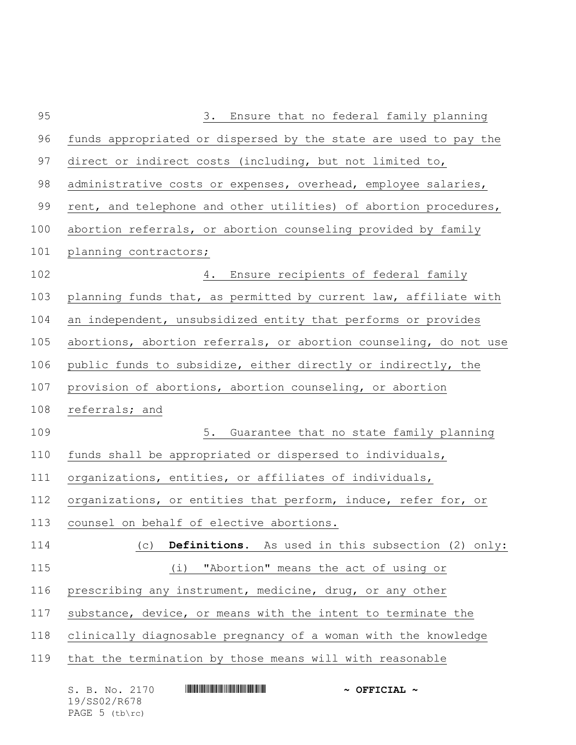| 95  | Ensure that no federal family planning<br>3.                      |
|-----|-------------------------------------------------------------------|
| 96  | funds appropriated or dispersed by the state are used to pay the  |
| 97  | direct or indirect costs (including, but not limited to,          |
| 98  | administrative costs or expenses, overhead, employee salaries,    |
| 99  | rent, and telephone and other utilities) of abortion procedures,  |
| 100 | abortion referrals, or abortion counseling provided by family     |
| 101 | planning contractors;                                             |
| 102 | Ensure recipients of federal family<br>4.                         |
| 103 | planning funds that, as permitted by current law, affiliate with  |
| 104 | an independent, unsubsidized entity that performs or provides     |
| 105 | abortions, abortion referrals, or abortion counseling, do not use |
| 106 | public funds to subsidize, either directly or indirectly, the     |
| 107 | provision of abortions, abortion counseling, or abortion          |
| 108 | referrals; and                                                    |
| 109 | 5.<br>Guarantee that no state family planning                     |
| 110 | funds shall be appropriated or dispersed to individuals,          |
| 111 | organizations, entities, or affiliates of individuals,            |
| 112 | organizations, or entities that perform, induce, refer for, or    |
|     |                                                                   |
| 113 | counsel on behalf of elective abortions.                          |
| 114 | Definitions. As used in this subsection (2) only:<br>(C)          |
| 115 | "Abortion" means the act of using or<br>(i)                       |
| 116 | prescribing any instrument, medicine, drug, or any other          |
| 117 | substance, device, or means with the intent to terminate the      |
| 118 | clinically diagnosable pregnancy of a woman with the knowledge    |
| 119 | that the termination by those means will with reasonable          |

| S. B. No. 2170   | $\sim$ OFFICIAL $\sim$ |
|------------------|------------------------|
| 19/SS02/R678     |                        |
| PAGE $5$ (tb\rc) |                        |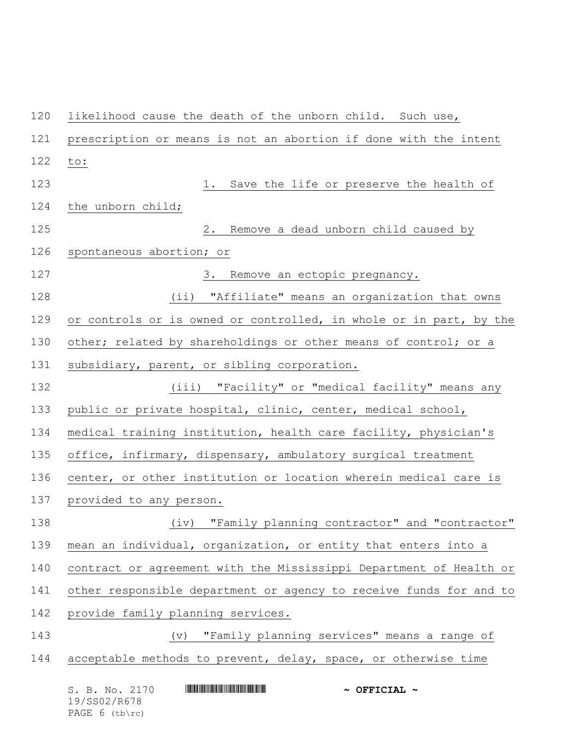S. B. No. 2170 \*SS02/R678\* **~ OFFICIAL ~** likelihood cause the death of the unborn child. Such use, prescription or means is not an abortion if done with the intent to: 1. Save the life or preserve the health of the unborn child; 2. Remove a dead unborn child caused by spontaneous abortion; or 127 3. Remove an ectopic pregnancy. (ii) "Affiliate" means an organization that owns 129 or controls or is owned or controlled, in whole or in part, by the 130 other; related by shareholdings or other means of control; or a subsidiary, parent, or sibling corporation. (iii) "Facility" or "medical facility" means any public or private hospital, clinic, center, medical school, medical training institution, health care facility, physician's office, infirmary, dispensary, ambulatory surgical treatment center, or other institution or location wherein medical care is provided to any person. (iv) "Family planning contractor" and "contractor" mean an individual, organization, or entity that enters into a contract or agreement with the Mississippi Department of Health or other responsible department or agency to receive funds for and to provide family planning services. (v) "Family planning services" means a range of acceptable methods to prevent, delay, space, or otherwise time

19/SS02/R678 PAGE 6 (tb\rc)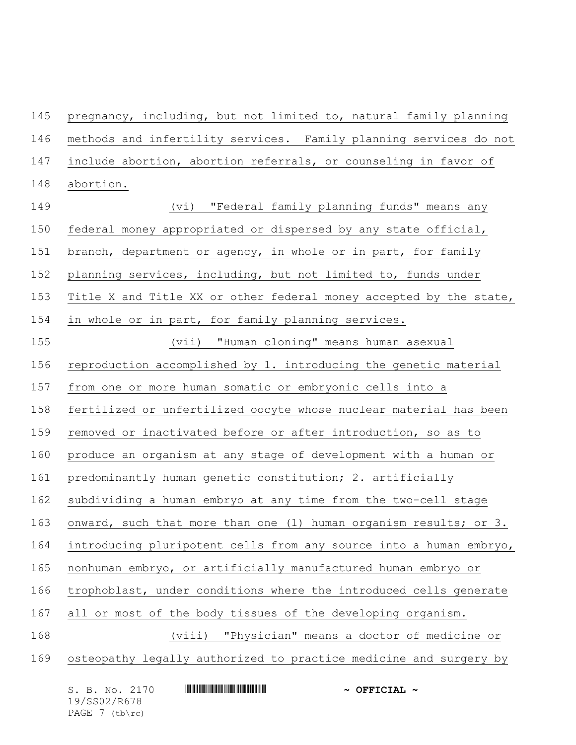pregnancy, including, but not limited to, natural family planning methods and infertility services. Family planning services do not include abortion, abortion referrals, or counseling in favor of abortion.

 (vi) "Federal family planning funds" means any federal money appropriated or dispersed by any state official, branch, department or agency, in whole or in part, for family planning services, including, but not limited to, funds under Title X and Title XX or other federal money accepted by the state, in whole or in part, for family planning services. (vii) "Human cloning" means human asexual reproduction accomplished by 1. introducing the genetic material from one or more human somatic or embryonic cells into a fertilized or unfertilized oocyte whose nuclear material has been removed or inactivated before or after introduction, so as to produce an organism at any stage of development with a human or predominantly human genetic constitution; 2. artificially subdividing a human embryo at any time from the two-cell stage onward, such that more than one (1) human organism results; or 3. introducing pluripotent cells from any source into a human embryo, nonhuman embryo, or artificially manufactured human embryo or trophoblast, under conditions where the introduced cells generate all or most of the body tissues of the developing organism. (viii) "Physician" means a doctor of medicine or osteopathy legally authorized to practice medicine and surgery by

| S. B. No. 2170 | $\sim$ OFFICIAL $\sim$ |
|----------------|------------------------|
| 19/SS02/R678   |                        |
| PAGE 7 (tb\rc) |                        |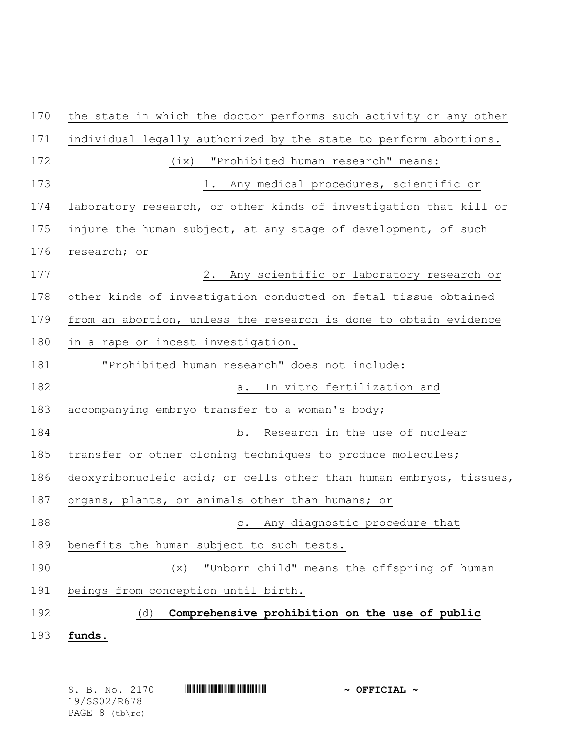| 170 | the state in which the doctor performs such activity or any other  |
|-----|--------------------------------------------------------------------|
| 171 | individual legally authorized by the state to perform abortions.   |
| 172 | (ix) "Prohibited human research" means:                            |
| 173 | 1. Any medical procedures, scientific or                           |
| 174 | laboratory research, or other kinds of investigation that kill or  |
| 175 | injure the human subject, at any stage of development, of such     |
| 176 | research; or                                                       |
| 177 | 2. Any scientific or laboratory research or                        |
| 178 | other kinds of investigation conducted on fetal tissue obtained    |
| 179 | from an abortion, unless the research is done to obtain evidence   |
| 180 | in a rape or incest investigation.                                 |
| 181 | "Prohibited human research" does not include:                      |
| 182 | a. In vitro fertilization and                                      |
| 183 | accompanying embryo transfer to a woman's body;                    |
| 184 | b. Research in the use of nuclear                                  |
| 185 | transfer or other cloning techniques to produce molecules;         |
| 186 | deoxyribonucleic acid; or cells other than human embryos, tissues, |
| 187 | organs, plants, or animals other than humans; or                   |
| 188 | c. Any diagnostic procedure that                                   |
| 189 | benefits the human subject to such tests.                          |
| 190 | "Unborn child" means the offspring of human<br>(x)                 |
| 191 | beings from conception until birth.                                |
| 192 | Comprehensive prohibition on the use of public<br>(d)              |
| 193 | funds.                                                             |
|     |                                                                    |

|  |                | S. B. No. 2170 |  | $\sim$ OFFICIAL $\sim$ |  |
|--|----------------|----------------|--|------------------------|--|
|  | 19/SS02/R678   |                |  |                        |  |
|  | PAGE 8 (tb\rc) |                |  |                        |  |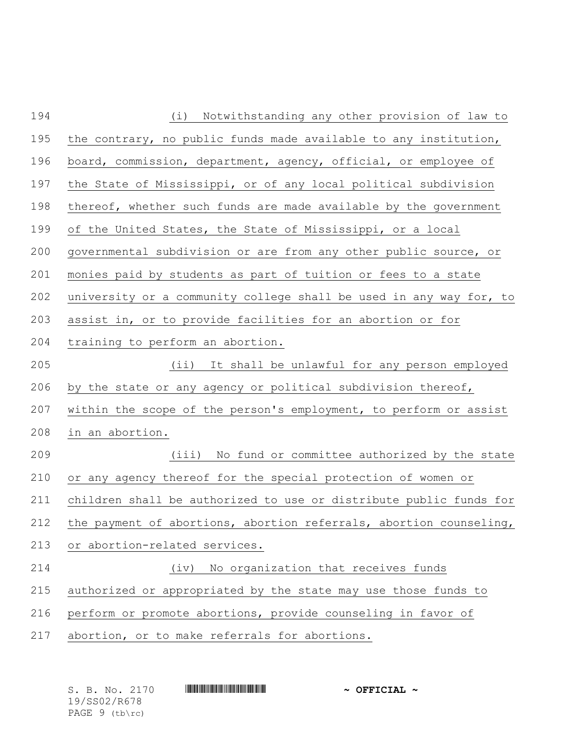| 194 | Notwithstanding any other provision of law to<br>(i)               |
|-----|--------------------------------------------------------------------|
| 195 | the contrary, no public funds made available to any institution,   |
| 196 | board, commission, department, agency, official, or employee of    |
| 197 | the State of Mississippi, or of any local political subdivision    |
| 198 | thereof, whether such funds are made available by the government   |
| 199 | of the United States, the State of Mississippi, or a local         |
| 200 | governmental subdivision or are from any other public source, or   |
| 201 | monies paid by students as part of tuition or fees to a state      |
| 202 | university or a community college shall be used in any way for, to |
| 203 | assist in, or to provide facilities for an abortion or for         |
| 204 | training to perform an abortion.                                   |
| 205 | (ii) It shall be unlawful for any person employed                  |
| 206 | by the state or any agency or political subdivision thereof,       |
| 207 | within the scope of the person's employment, to perform or assist  |
| 208 | in an abortion.                                                    |
| 209 | (iii) No fund or committee authorized by the state                 |
| 210 | or any agency thereof for the special protection of women or       |
| 211 | children shall be authorized to use or distribute public funds for |
| 212 | the payment of abortions, abortion referrals, abortion counseling, |
| 213 | or abortion-related services.                                      |
| 214 | No organization that receives funds<br>(iv)                        |
| 215 | authorized or appropriated by the state may use those funds to     |
| 216 | perform or promote abortions, provide counseling in favor of       |
| 217 | abortion, or to make referrals for abortions.                      |

| S. B. No. 2170   | $\sim$ OFFICIAL $\sim$ |
|------------------|------------------------|
| 19/SS02/R678     |                        |
| PAGE $9$ (tb\rc) |                        |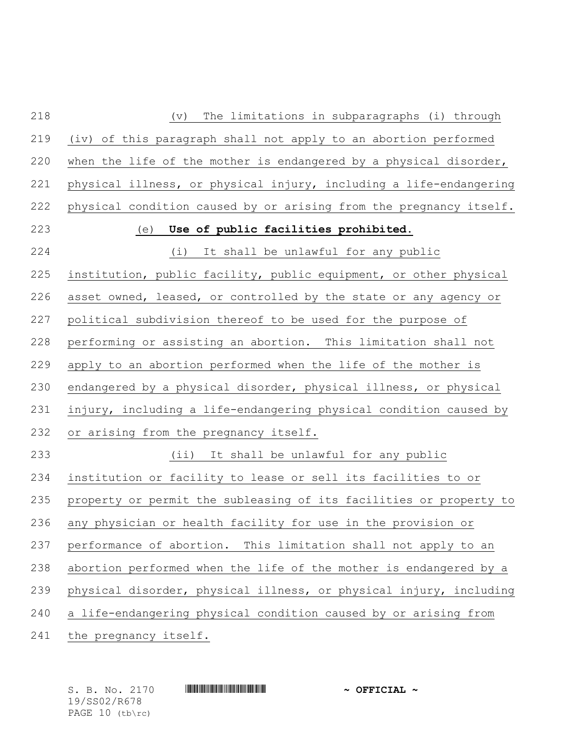| 218 | The limitations in subparagraphs (i) through<br>$(\triangledown)$  |
|-----|--------------------------------------------------------------------|
| 219 | (iv) of this paragraph shall not apply to an abortion performed    |
| 220 | when the life of the mother is endangered by a physical disorder,  |
| 221 | physical illness, or physical injury, including a life-endangering |
| 222 | physical condition caused by or arising from the pregnancy itself. |
| 223 | (e) Use of public facilities prohibited.                           |
| 224 | (i) It shall be unlawful for any public                            |
| 225 | institution, public facility, public equipment, or other physical  |
| 226 | asset owned, leased, or controlled by the state or any agency or   |
| 227 | political subdivision thereof to be used for the purpose of        |
| 228 | performing or assisting an abortion. This limitation shall not     |
| 229 | apply to an abortion performed when the life of the mother is      |
| 230 | endangered by a physical disorder, physical illness, or physical   |
| 231 | injury, including a life-endangering physical condition caused by  |
| 232 | or arising from the pregnancy itself.                              |
| 233 | (ii) It shall be unlawful for any public                           |
| 234 | institution or facility to lease or sell its facilities to or      |
| 235 | property or permit the subleasing of its facilities or property to |
| 236 | any physician or health facility for use in the provision or       |
| 237 | performance of abortion. This limitation shall not apply to an     |
| 238 | abortion performed when the life of the mother is endangered by a  |
| 239 | physical disorder, physical illness, or physical injury, including |
| 240 | a life-endangering physical condition caused by or arising from    |
| 241 | the pregnancy itself.                                              |

19/SS02/R678 PAGE 10 (tb\rc)

S. B. No. 2170 **\*\*\* ASSEMBLE ASSEMBLE ASSESSED ASSOCIATE \*\*** OFFICIAL \*\*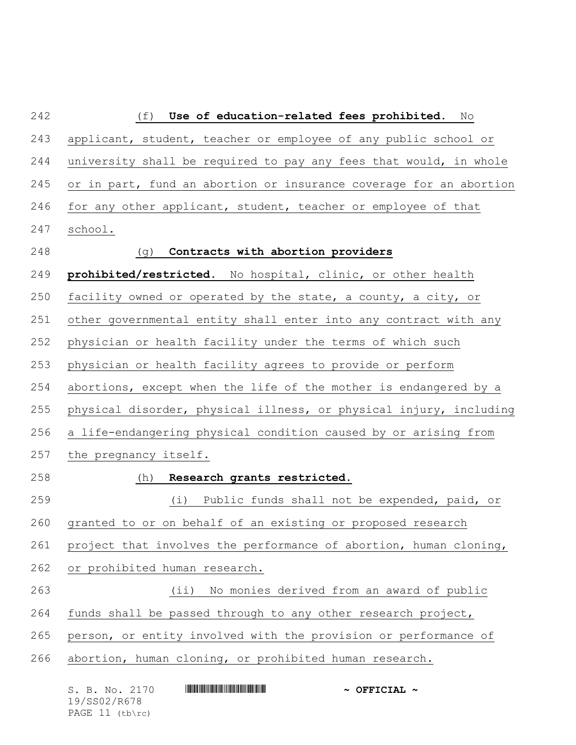| 242 | (f)<br>Use of education-related fees prohibited. No                |
|-----|--------------------------------------------------------------------|
| 243 | applicant, student, teacher or employee of any public school or    |
| 244 | university shall be required to pay any fees that would, in whole  |
| 245 | or in part, fund an abortion or insurance coverage for an abortion |
| 246 | for any other applicant, student, teacher or employee of that      |
| 247 | school.                                                            |
| 248 | Contracts with abortion providers<br>(g)                           |
| 249 | prohibited/restricted. No hospital, clinic, or other health        |
| 250 | facility owned or operated by the state, a county, a city, or      |
| 251 | other governmental entity shall enter into any contract with any   |
| 252 | physician or health facility under the terms of which such         |
| 253 | physician or health facility agrees to provide or perform          |
| 254 | abortions, except when the life of the mother is endangered by a   |
| 255 | physical disorder, physical illness, or physical injury, including |
| 256 | a life-endangering physical condition caused by or arising from    |
| 257 | the pregnancy itself.                                              |
| 258 | Research grants restricted.<br>(h)                                 |
| 259 | (i) Public funds shall not be expended, paid, or                   |
| 260 | granted to or on behalf of an existing or proposed research        |
| 261 | project that involves the performance of abortion, human cloning,  |
| 262 | or prohibited human research.                                      |
| 263 | No monies derived from an award of public<br>$(i$ i)               |
| 264 | funds shall be passed through to any other research project,       |
| 265 | person, or entity involved with the provision or performance of    |
| 266 | abortion, human cloning, or prohibited human research.             |
|     | S. B. No. 2170<br>$\sim$ OFFICIAL $\sim$                           |

19/SS02/R678 PAGE 11 (tb\rc)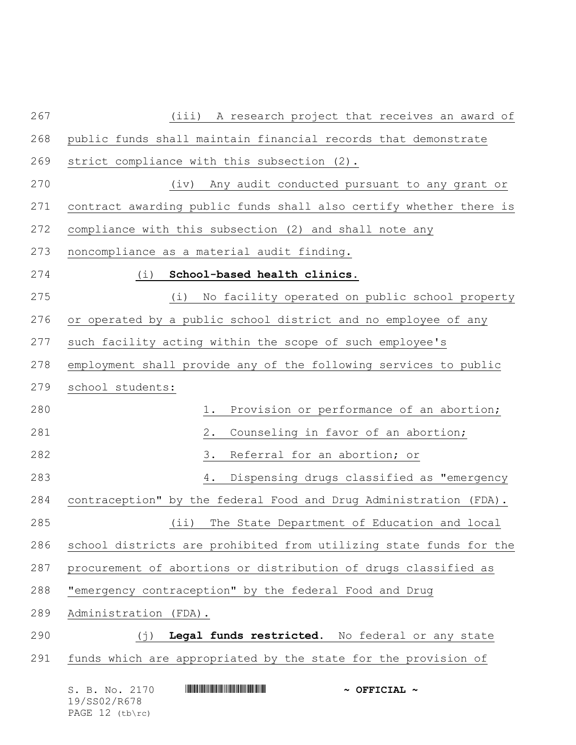| 267 | A research project that receives an award of<br>(iii)                                                                                                             |
|-----|-------------------------------------------------------------------------------------------------------------------------------------------------------------------|
| 268 | public funds shall maintain financial records that demonstrate                                                                                                    |
| 269 | strict compliance with this subsection (2).                                                                                                                       |
| 270 | Any audit conducted pursuant to any grant or<br>(iv)                                                                                                              |
| 271 | contract awarding public funds shall also certify whether there is                                                                                                |
| 272 | compliance with this subsection (2) and shall note any                                                                                                            |
| 273 | noncompliance as a material audit finding.                                                                                                                        |
| 274 | School-based health clinics.<br>(i)                                                                                                                               |
| 275 | No facility operated on public school property<br>(i)                                                                                                             |
| 276 | or operated by a public school district and no employee of any                                                                                                    |
| 277 | such facility acting within the scope of such employee's                                                                                                          |
| 278 | employment shall provide any of the following services to public                                                                                                  |
| 279 | school students:                                                                                                                                                  |
| 280 | Provision or performance of an abortion;<br>1.                                                                                                                    |
| 281 | Counseling in favor of an abortion;<br>2.                                                                                                                         |
| 282 | Referral for an abortion; or<br>3.                                                                                                                                |
| 283 | Dispensing drugs classified as "emergency<br>4.                                                                                                                   |
| 284 | contraception" by the federal Food and Drug Administration (FDA).                                                                                                 |
| 285 | The State Department of Education and local<br>$(i$ i)                                                                                                            |
| 286 | school districts are prohibited from utilizing state funds for the                                                                                                |
| 287 | procurement of abortions or distribution of drugs classified as                                                                                                   |
| 288 | "emergency contraception" by the federal Food and Drug                                                                                                            |
| 289 | Administration (FDA).                                                                                                                                             |
| 290 | Legal funds restricted. No federal or any state<br>$(\dagger)$                                                                                                    |
| 291 | funds which are appropriated by the state for the provision of                                                                                                    |
|     | <u> I III III III III III III III II III II III III III III III III III III III III III III III III III III III I</u><br>S. B. No. 2170<br>$\sim$ OFFICIAL $\sim$ |

19/SS02/R678 PAGE 12 (tb\rc)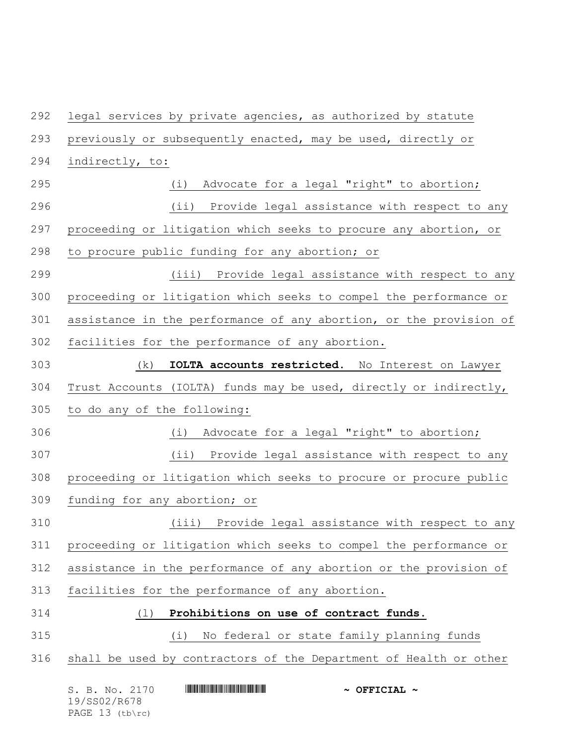S. B. No. 2170 \*SS02/R678\* **~ OFFICIAL ~** legal services by private agencies, as authorized by statute previously or subsequently enacted, may be used, directly or indirectly, to: (i) Advocate for a legal "right" to abortion; (ii) Provide legal assistance with respect to any proceeding or litigation which seeks to procure any abortion, or to procure public funding for any abortion; or (iii) Provide legal assistance with respect to any proceeding or litigation which seeks to compel the performance or assistance in the performance of any abortion, or the provision of facilities for the performance of any abortion. (k) **IOLTA accounts restricted.** No Interest on Lawyer Trust Accounts (IOLTA) funds may be used, directly or indirectly, to do any of the following: (i) Advocate for a legal "right" to abortion; (ii) Provide legal assistance with respect to any proceeding or litigation which seeks to procure or procure public funding for any abortion; or (iii) Provide legal assistance with respect to any proceeding or litigation which seeks to compel the performance or assistance in the performance of any abortion or the provision of facilities for the performance of any abortion. (l) **Prohibitions on use of contract funds.** (i) No federal or state family planning funds shall be used by contractors of the Department of Health or other

19/SS02/R678 PAGE 13 (tb\rc)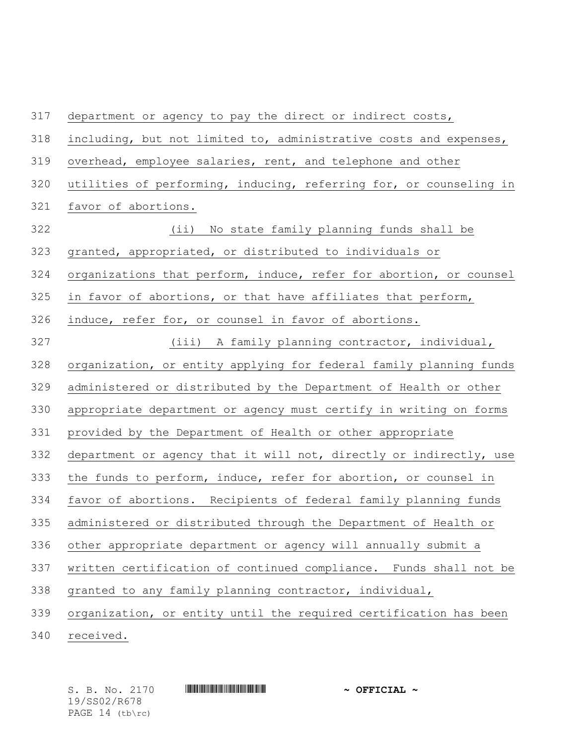| 317 | department or agency to pay the direct or indirect costs,          |
|-----|--------------------------------------------------------------------|
| 318 | including, but not limited to, administrative costs and expenses,  |
| 319 | overhead, employee salaries, rent, and telephone and other         |
| 320 | utilities of performing, inducing, referring for, or counseling in |
| 321 | favor of abortions.                                                |
| 322 | No state family planning funds shall be<br>(i)                     |
| 323 | granted, appropriated, or distributed to individuals or            |
| 324 | organizations that perform, induce, refer for abortion, or counsel |
| 325 | in favor of abortions, or that have affiliates that perform,       |
| 326 | induce, refer for, or counsel in favor of abortions.               |
| 327 | (iii) A family planning contractor, individual,                    |
| 328 | organization, or entity applying for federal family planning funds |
| 329 | administered or distributed by the Department of Health or other   |
| 330 | appropriate department or agency must certify in writing on forms  |
| 331 | provided by the Department of Health or other appropriate          |
| 332 | department or agency that it will not, directly or indirectly, use |
| 333 | the funds to perform, induce, refer for abortion, or counsel in    |
| 334 | favor of abortions. Recipients of federal family planning funds    |
| 335 | administered or distributed through the Department of Health or    |
| 336 | other appropriate department or agency will annually submit a      |
| 337 | written certification of continued compliance. Funds shall not be  |
| 338 | granted to any family planning contractor, individual,             |
| 339 | organization, or entity until the required certification has been  |
| 210 |                                                                    |

received.

19/SS02/R678 PAGE 14 (tb\rc)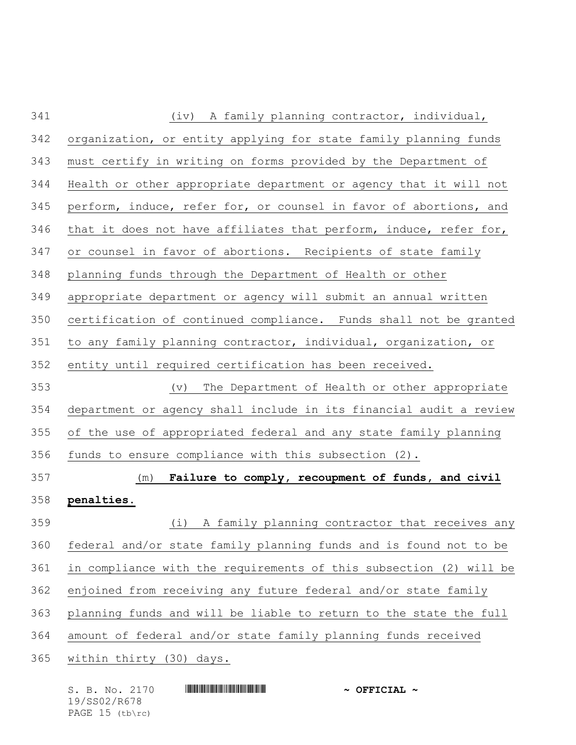| 341 | A family planning contractor, individual,<br>(iv)                  |
|-----|--------------------------------------------------------------------|
| 342 | organization, or entity applying for state family planning funds   |
| 343 | must certify in writing on forms provided by the Department of     |
| 344 | Health or other appropriate department or agency that it will not  |
| 345 | perform, induce, refer for, or counsel in favor of abortions, and  |
| 346 | that it does not have affiliates that perform, induce, refer for,  |
| 347 | or counsel in favor of abortions. Recipients of state family       |
| 348 | planning funds through the Department of Health or other           |
| 349 | appropriate department or agency will submit an annual written     |
| 350 | certification of continued compliance. Funds shall not be granted  |
| 351 | to any family planning contractor, individual, organization, or    |
| 352 | entity until required certification has been received.             |
| 353 | The Department of Health or other appropriate<br>$(\triangledown)$ |
| 354 | department or agency shall include in its financial audit a review |
| 355 | of the use of appropriated federal and any state family planning   |
| 356 | funds to ensure compliance with this subsection (2).               |
| 357 | Failure to comply, recoupment of funds, and civil<br>(m)           |
| 358 | penalties.                                                         |
| 359 | (i)<br>A family planning contractor that receives any              |
| 360 | federal and/or state family planning funds and is found not to be  |
| 361 | in compliance with the requirements of this subsection (2) will be |
| 362 | enjoined from receiving any future federal and/or state family     |
| 363 | planning funds and will be liable to return to the state the full  |
| 364 | amount of federal and/or state family planning funds received      |
| 365 | within thirty (30) days.                                           |
|     |                                                                    |

|  |              | S. B. No. 2170    |  | $\sim$ OFFICIAL $\sim$ |  |
|--|--------------|-------------------|--|------------------------|--|
|  | 19/SS02/R678 |                   |  |                        |  |
|  |              | PAGE $15$ (tb\rc) |  |                        |  |